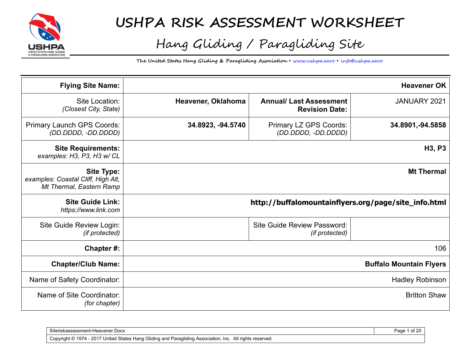

# **USHPA RISK ASSESSMENT WORKSHEET**

# Hang Gliding / Paragliding Site

**The United States Hang Gliding & Paragliding Association** • www.ushpa.aero • info@ushpa.aero

| <b>Flying Site Name:</b>                                                            |                    |                                                         | <b>Heavener OK</b>              |
|-------------------------------------------------------------------------------------|--------------------|---------------------------------------------------------|---------------------------------|
| Site Location:<br>(Closest City, State)                                             | Heavener, Oklahoma | <b>Annual/ Last Assessment</b><br><b>Revision Date:</b> | JANUARY 2021                    |
| Primary Launch GPS Coords:<br>(DD.DDDD, -DD.DDDD)                                   | 34.8923, -94.5740  | Primary LZ GPS Coords:<br>(DD.DDDD, -DD.DDDD)           | 34.8901, -94.5858               |
| <b>Site Requirements:</b><br>examples: H3, P3, H3 w/ CL                             |                    |                                                         | H <sub>3</sub> , P <sub>3</sub> |
| <b>Site Type:</b><br>examples: Coastal Cliff, High Alt,<br>Mt Thermal, Eastern Ramp |                    |                                                         | <b>Mt Thermal</b>               |
| <b>Site Guide Link:</b><br>https://www.link.com                                     |                    | http://buffalomountainflyers.org/page/site_info.html    |                                 |
| Site Guide Review Login:<br>(if protected)                                          |                    | <b>Site Guide Review Password:</b><br>(if protected)    |                                 |
| Chapter#:                                                                           |                    |                                                         | 106                             |
| <b>Chapter/Club Name:</b>                                                           |                    |                                                         | <b>Buffalo Mountain Flyers</b>  |
| Name of Safety Coordinator:                                                         |                    |                                                         | <b>Hadley Robinson</b>          |
| Name of Site Coordinator:<br>(for chapter)                                          |                    |                                                         | <b>Britton Shaw</b>             |

| $\sim$<br>Siteriskassessmen<br>Heavener Docx                                                                                                                                                | auc |
|---------------------------------------------------------------------------------------------------------------------------------------------------------------------------------------------|-----|
| I States Hang Gliding and<br>$^{\backprime}$ 1974 $\cdot$<br>. - 2017 L'<br>∠. All right∈<br>Convright ©<br>-Inc<br>reserved.<br>J Paragliding Association.<br>United<br>ر ب<br>$\cdot$<br> |     |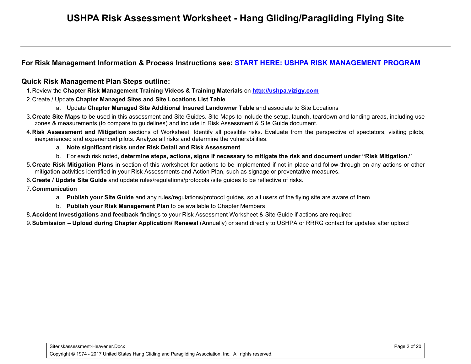#### **For Risk Management Information & Process Instructions see: START HERE: USHPA RISK MANAGEMENT PROGRAM**

#### **Quick Risk Management Plan Steps outline:**

- 1. Review the **Chapter Risk Management Training Videos & Training Materials** on **http://ushpa.vizigy.com**
- 2. Create / Update **Chapter Managed Sites and Site Locations List Table**
	- a. Update **Chapter Managed Site Additional Insured Landowner Table** and associate to Site Locations
- 3. **Create Site Maps** to be used in this assessment and Site Guides. Site Maps to include the setup, launch, teardown and landing areas, including use zones & measurements (to compare to guidelines) and include in Risk Assessment & Site Guide document.
- 4. **Risk Assessment and Mitigation** sections of Worksheet: Identify all possible risks. Evaluate from the perspective of spectators, visiting pilots, inexperienced and experienced pilots. Analyze all risks and determine the vulnerabilities.
	- a. **Note significant risks under Risk Detail and Risk Assessment**.
	- b. For each risk noted, **determine steps, actions, signs if necessary to mitigate the risk and document under "Risk Mitigation."**
- 5. **Create Risk Mitigation Plans** in section of this worksheet for actions to be implemented if not in place and follow-through on any actions or other mitigation activities identified in your Risk Assessments and Action Plan, such as signage or preventative measures.
- 6. **Create / Update Site Guide** and update rules/regulations/protocols /site guides to be reflective of risks.
- 7. **Communication**
	- a. **Publish your Site Guide** and any rules/regulations/protocol guides, so all users of the flying site are aware of them
	- b. **Publish your Risk Management Plan** to be available to Chapter Members
- 8. **Accident Investigations and feedback** findings to your Risk Assessment Worksheet & Site Guide if actions are required

9. **Submission – Upload during Chapter Application/ Renewal** (Annually) or send directly to USHPA or RRRG contact for updates after upload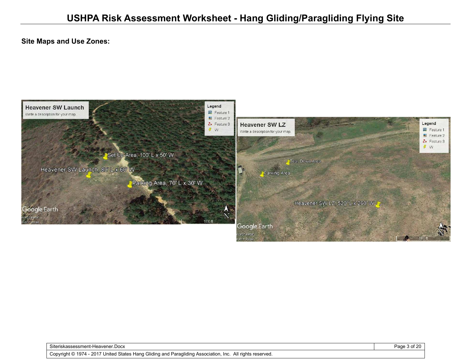#### **Site Maps and Use Zones:**



Siteriskassessment-Heavener.Docx Page 3 of 20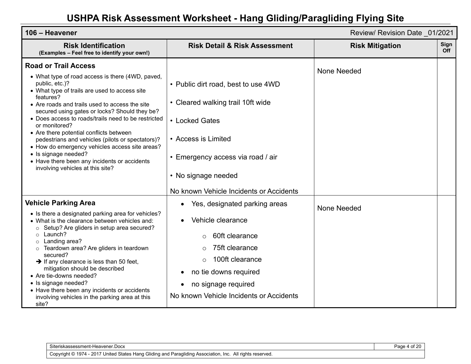| 106 - Heavener                                                                                                                                                                                                                                                                                                                                                                                                                                                                                                                                                                                          |                                                                                                                                                                                                                                                        | Review/ Revision Date 01/2021 |             |
|---------------------------------------------------------------------------------------------------------------------------------------------------------------------------------------------------------------------------------------------------------------------------------------------------------------------------------------------------------------------------------------------------------------------------------------------------------------------------------------------------------------------------------------------------------------------------------------------------------|--------------------------------------------------------------------------------------------------------------------------------------------------------------------------------------------------------------------------------------------------------|-------------------------------|-------------|
| <b>Risk Identification</b><br>(Examples - Feel free to identify your own!)                                                                                                                                                                                                                                                                                                                                                                                                                                                                                                                              | <b>Risk Detail &amp; Risk Assessment</b>                                                                                                                                                                                                               | <b>Risk Mitigation</b>        | Sign<br>Off |
| <b>Road or Trail Access</b><br>• What type of road access is there (4WD, paved,<br>public, etc.)?<br>• What type of trails are used to access site<br>features?<br>• Are roads and trails used to access the site<br>secured using gates or locks? Should they be?<br>• Does access to roads/trails need to be restricted<br>or monitored?<br>• Are there potential conflicts between<br>pedestrians and vehicles (pilots or spectators)?<br>• How do emergency vehicles access site areas?<br>• Is signage needed?<br>• Have there been any incidents or accidents<br>involving vehicles at this site? | • Public dirt road, best to use 4WD<br>• Cleared walking trail 10ft wide<br>• Locked Gates<br>• Access is Limited<br>• Emergency access via road / air<br>• No signage needed<br>No known Vehicle Incidents or Accidents                               | None Needed                   |             |
| <b>Vehicle Parking Area</b><br>• Is there a designated parking area for vehicles?<br>• What is the clearance between vehicles and:<br>Setup? Are gliders in setup area secured?<br>$\circ$<br>Launch?<br>$\circ$<br>Landing area?<br>$\circ$<br>Teardown area? Are gliders in teardown<br>secured?<br>$\rightarrow$ If any clearance is less than 50 feet,<br>mitigation should be described<br>• Are tie-downs needed?<br>• Is signage needed?<br>• Have there been any incidents or accidents<br>involving vehicles in the parking area at this<br>site?                                              | Yes, designated parking areas<br>$\bullet$<br>Vehicle clearance<br>60ft clearance<br>$\bigcirc$<br>75ft clearance<br>$\circ$<br>100ft clearance<br>$\Omega$<br>no tie downs required<br>no signage required<br>No known Vehicle Incidents or Accidents | None Needed                   |             |

| Siteriskassessment-Heavener.Docx                                                                                             |  |
|------------------------------------------------------------------------------------------------------------------------------|--|
| 7 United States Hang Gliding and Paragliding Association, Inc. .<br>. 1974 - 2017 ك .<br>All rights reserved.<br>Copyright © |  |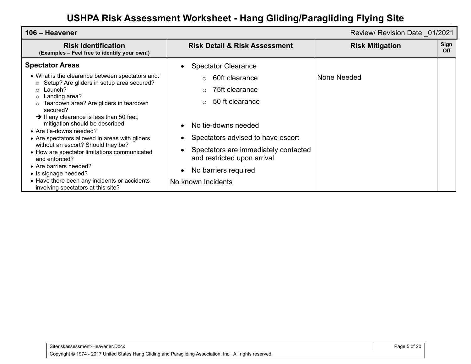| 106 – Heavener                                                                                                                                                                                                                                                                                                                                                                                                                                                                                                                                                                                                                                                       |                                                                                                                                                                                                                                                                                                                   | Review/ Revision Date 01/2021 |                    |
|----------------------------------------------------------------------------------------------------------------------------------------------------------------------------------------------------------------------------------------------------------------------------------------------------------------------------------------------------------------------------------------------------------------------------------------------------------------------------------------------------------------------------------------------------------------------------------------------------------------------------------------------------------------------|-------------------------------------------------------------------------------------------------------------------------------------------------------------------------------------------------------------------------------------------------------------------------------------------------------------------|-------------------------------|--------------------|
| <b>Risk Identification</b><br>(Examples - Feel free to identify your own!)                                                                                                                                                                                                                                                                                                                                                                                                                                                                                                                                                                                           | <b>Risk Detail &amp; Risk Assessment</b>                                                                                                                                                                                                                                                                          | <b>Risk Mitigation</b>        | Sign<br><b>Off</b> |
| <b>Spectator Areas</b><br>• What is the clearance between spectators and:<br>Setup? Are gliders in setup area secured?<br>$\circ$<br>Launch?<br>$\circ$<br>Landing area?<br>O<br>Teardown area? Are gliders in teardown<br>$\circ$<br>secured?<br>$\rightarrow$ If any clearance is less than 50 feet,<br>mitigation should be described<br>• Are tie-downs needed?<br>• Are spectators allowed in areas with gliders<br>without an escort? Should they be?<br>• How are spectator limitations communicated<br>and enforced?<br>• Are barriers needed?<br>• Is signage needed?<br>• Have there been any incidents or accidents<br>involving spectators at this site? | <b>Spectator Clearance</b><br>60ft clearance<br>$\circ$<br>75ft clearance<br>$\circ$<br>50 ft clearance<br>$\circ$<br>No tie-downs needed<br>Spectators advised to have escort<br>Spectators are immediately contacted<br>and restricted upon arrival.<br>No barriers required<br>$\bullet$<br>No known Incidents | None Needed                   |                    |

Siteriskassessment-Heavener.Docx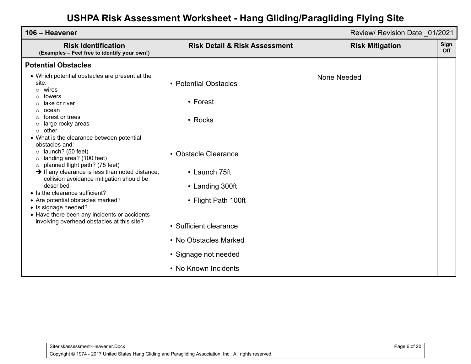| 106 - Heavener                                                                                                                                                                  |                                          | Review/ Revision Date 01/2021 |                    |
|---------------------------------------------------------------------------------------------------------------------------------------------------------------------------------|------------------------------------------|-------------------------------|--------------------|
| <b>Risk Identification</b><br>(Examples - Feel free to identify your own!)                                                                                                      | <b>Risk Detail &amp; Risk Assessment</b> | <b>Risk Mitigation</b>        | Sign<br><b>Off</b> |
| <b>Potential Obstacles</b>                                                                                                                                                      |                                          |                               |                    |
| • Which potential obstacles are present at the<br>site:<br>wires<br>$\circ$<br>towers<br>lake or river                                                                          | • Potential Obstacles<br>• Forest        | None Needed                   |                    |
| ocean<br>forest or trees<br>large rocky areas<br>C<br>other<br>$\circ$                                                                                                          | • Rocks                                  |                               |                    |
| • What is the clearance between potential<br>obstacles and:<br>launch? (50 feet)<br>$\circ$<br>landing area? (100 feet)<br>$\circ$<br>planned flight path? (75 feet)<br>$\circ$ | • Obstacle Clearance                     |                               |                    |
| $\rightarrow$ If any clearance is less than noted distance,<br>collision avoidance mitigation should be                                                                         | • Launch 75ft                            |                               |                    |
| described<br>• Is the clearance sufficient?                                                                                                                                     | • Landing 300ft                          |                               |                    |
| • Are potential obstacles marked?<br>• Is signage needed?<br>• Have there been any incidents or accidents                                                                       | • Flight Path 100ft                      |                               |                    |
| involving overhead obstacles at this site?                                                                                                                                      | • Sufficient clearance                   |                               |                    |
|                                                                                                                                                                                 | • No Obstacles Marked                    |                               |                    |
|                                                                                                                                                                                 | • Signage not needed                     |                               |                    |
|                                                                                                                                                                                 | • No Known Incidents                     |                               |                    |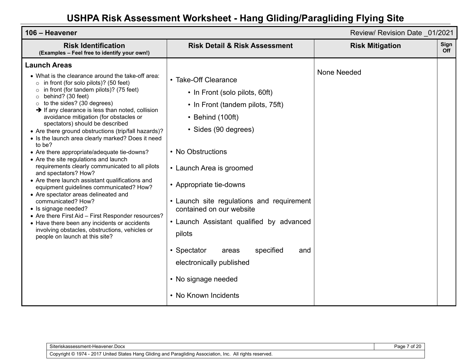| 106 - Heavener                                                                                                                                                                                                                                                                                                                                                                                                                                                                                                                                                                                                                                                                                                                                                                                                                                                                                                                                                                                                                                             |                                                                                                                                                                                                                                                                                                                                                                                                                                                                          | Review/ Revision Date 01/2021 |             |
|------------------------------------------------------------------------------------------------------------------------------------------------------------------------------------------------------------------------------------------------------------------------------------------------------------------------------------------------------------------------------------------------------------------------------------------------------------------------------------------------------------------------------------------------------------------------------------------------------------------------------------------------------------------------------------------------------------------------------------------------------------------------------------------------------------------------------------------------------------------------------------------------------------------------------------------------------------------------------------------------------------------------------------------------------------|--------------------------------------------------------------------------------------------------------------------------------------------------------------------------------------------------------------------------------------------------------------------------------------------------------------------------------------------------------------------------------------------------------------------------------------------------------------------------|-------------------------------|-------------|
| <b>Risk Identification</b><br>(Examples - Feel free to identify your own!)                                                                                                                                                                                                                                                                                                                                                                                                                                                                                                                                                                                                                                                                                                                                                                                                                                                                                                                                                                                 | <b>Risk Detail &amp; Risk Assessment</b>                                                                                                                                                                                                                                                                                                                                                                                                                                 | <b>Risk Mitigation</b>        | Sign<br>Off |
| <b>Launch Areas</b><br>• What is the clearance around the take-off area:<br>in front (for solo pilots)? (50 feet)<br>$\circ$<br>in front (for tandem pilots)? (75 feet)<br>behind? (30 feet)<br>$\circ$<br>to the sides? (30 degrees)<br>$\rightarrow$ If any clearance is less than noted, collision<br>avoidance mitigation (for obstacles or<br>spectators) should be described<br>• Are there ground obstructions (trip/fall hazards)?<br>• Is the launch area clearly marked? Does it need<br>to be?<br>• Are there appropriate/adequate tie-downs?<br>• Are the site regulations and launch<br>requirements clearly communicated to all pilots<br>and spectators? How?<br>• Are there launch assistant qualifications and<br>equipment guidelines communicated? How?<br>• Are spectator areas delineated and<br>communicated? How?<br>• Is signage needed?<br>• Are there First Aid - First Responder resources?<br>• Have there been any incidents or accidents<br>involving obstacles, obstructions, vehicles or<br>people on launch at this site? | • Take-Off Clearance<br>• In Front (solo pilots, 60ft)<br>• In Front (tandem pilots, 75ft)<br>• Behind (100ft)<br>• Sides (90 degrees)<br>• No Obstructions<br>• Launch Area is groomed<br>• Appropriate tie-downs<br>• Launch site regulations and requirement<br>contained on our website<br>• Launch Assistant qualified by advanced<br>pilots<br>• Spectator<br>specified<br>areas<br>and<br>electronically published<br>• No signage needed<br>• No Known Incidents | None Needed                   |             |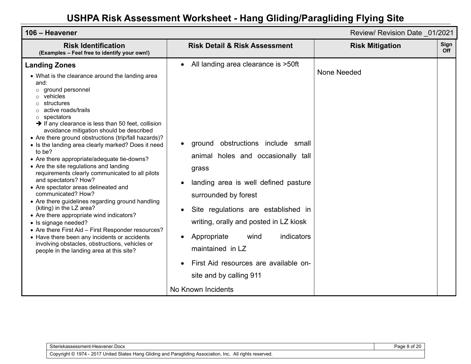| 106 - Heavener                                                                                                                                                                                                                                                                                                                                                                                                                                                                                                                                                                                                                                                                                                                                                                                                                                                                                                                                                                                                                |                                                                                                                                                                                                                                                                                                                                                                                                                             | Review/ Revision Date 01/2021 |             |
|-------------------------------------------------------------------------------------------------------------------------------------------------------------------------------------------------------------------------------------------------------------------------------------------------------------------------------------------------------------------------------------------------------------------------------------------------------------------------------------------------------------------------------------------------------------------------------------------------------------------------------------------------------------------------------------------------------------------------------------------------------------------------------------------------------------------------------------------------------------------------------------------------------------------------------------------------------------------------------------------------------------------------------|-----------------------------------------------------------------------------------------------------------------------------------------------------------------------------------------------------------------------------------------------------------------------------------------------------------------------------------------------------------------------------------------------------------------------------|-------------------------------|-------------|
| <b>Risk Identification</b><br>(Examples - Feel free to identify your own!)                                                                                                                                                                                                                                                                                                                                                                                                                                                                                                                                                                                                                                                                                                                                                                                                                                                                                                                                                    | <b>Risk Detail &amp; Risk Assessment</b>                                                                                                                                                                                                                                                                                                                                                                                    | <b>Risk Mitigation</b>        | Sign<br>Off |
| <b>Landing Zones</b><br>• What is the clearance around the landing area<br>and:<br>$\circ$ ground personnel<br>$\circ$ vehicles<br>structures<br>active roads/trails<br>spectators<br>$\circ$<br>$\rightarrow$ If any clearance is less than 50 feet, collision<br>avoidance mitigation should be described<br>• Are there ground obstructions (trip/fall hazards)?<br>• Is the landing area clearly marked? Does it need<br>to be?<br>• Are there appropriate/adequate tie-downs?<br>• Are the site regulations and landing<br>requirements clearly communicated to all pilots<br>and spectators? How?<br>• Are spectator areas delineated and<br>communicated? How?<br>• Are there guidelines regarding ground handling<br>(kiting) in the LZ area?<br>• Are there appropriate wind indicators?<br>• Is signage needed?<br>• Are there First Aid - First Responder resources?<br>• Have there been any incidents or accidents<br>involving obstacles, obstructions, vehicles or<br>people in the landing area at this site? | All landing area clearance is >50ft<br>ground obstructions include small<br>animal holes and occasionally tall<br>grass<br>landing area is well defined pasture<br>surrounded by forest<br>Site regulations are established in<br>writing, orally and posted in LZ kiosk<br>indicators<br>Appropriate<br>wind<br>maintained in LZ<br>First Aid resources are available on-<br>site and by calling 911<br>No Known Incidents | None Needed                   |             |

Siteriskassessment-Heavener.Docx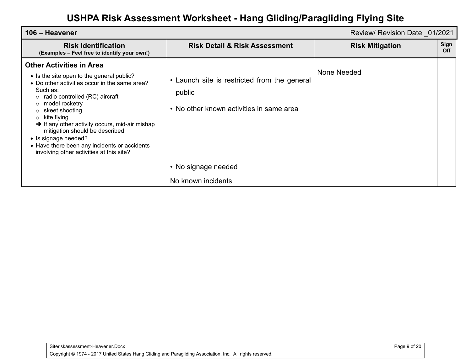| 106 - Heavener<br>Review/ Revision Date 01/2021                                                                                                                                                                                                                                                                                                                                                                                                                          |                                                                                                                                                 |                        |             |
|--------------------------------------------------------------------------------------------------------------------------------------------------------------------------------------------------------------------------------------------------------------------------------------------------------------------------------------------------------------------------------------------------------------------------------------------------------------------------|-------------------------------------------------------------------------------------------------------------------------------------------------|------------------------|-------------|
| <b>Risk Identification</b><br>(Examples - Feel free to identify your own!)                                                                                                                                                                                                                                                                                                                                                                                               | <b>Risk Detail &amp; Risk Assessment</b>                                                                                                        | <b>Risk Mitigation</b> | Sign<br>Off |
| <b>Other Activities in Area</b><br>• Is the site open to the general public?<br>• Do other activities occur in the same area?<br>Such as:<br>radio controlled (RC) aircraft<br>model rocketry<br>$\circ$<br>skeet shooting<br>kite flying<br>$\circ$<br>$\rightarrow$ If any other activity occurs, mid-air mishap<br>mitigation should be described<br>• Is signage needed?<br>• Have there been any incidents or accidents<br>involving other activities at this site? | • Launch site is restricted from the general<br>public<br>• No other known activities in same area<br>• No signage needed<br>No known incidents | None Needed            |             |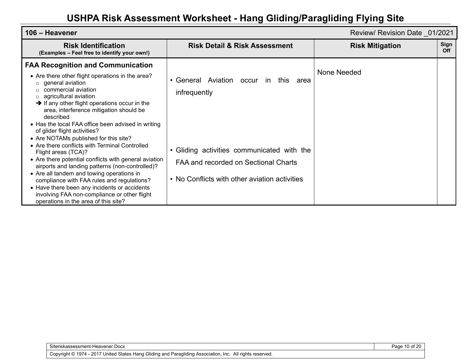| 106 - Heavener<br>Review/ Revision Date 01/2021                                                                                                                                                                                                                                                                                                                                                                                                                                                                                                                                                                      |                                                                                                                                                                    |                        |             |
|----------------------------------------------------------------------------------------------------------------------------------------------------------------------------------------------------------------------------------------------------------------------------------------------------------------------------------------------------------------------------------------------------------------------------------------------------------------------------------------------------------------------------------------------------------------------------------------------------------------------|--------------------------------------------------------------------------------------------------------------------------------------------------------------------|------------------------|-------------|
| <b>Risk Identification</b><br>(Examples - Feel free to identify your own!)                                                                                                                                                                                                                                                                                                                                                                                                                                                                                                                                           | <b>Risk Detail &amp; Risk Assessment</b>                                                                                                                           | <b>Risk Mitigation</b> | Sign<br>Off |
| <b>FAA Recognition and Communication</b><br>• Are there other flight operations in the area?<br>general aviation<br>commercial aviation<br>agricultural aviation<br>$\circ$<br>$\rightarrow$ If any other flight operations occur in the<br>area, interference mitigation should be<br>described<br>• Has the local FAA office been advised in writing<br>of glider flight activities?<br>• Are NOTAMs published for this site?<br>• Are there conflicts with Terminal Controlled<br>Flight areas (TCA)?<br>• Are there potential conflicts with general aviation<br>airports and landing patterns (non-controlled)? | • General Aviation<br>occur<br>this<br>$\mathsf{In}$<br>area<br>infrequently<br>• Gliding activities communicated with the<br>FAA and recorded on Sectional Charts | None Needed            |             |
| • Are all tandem and towing operations in<br>compliance with FAA rules and regulations?<br>• Have there been any incidents or accidents<br>involving FAA non-compliance or other flight<br>operations in the area of this site?                                                                                                                                                                                                                                                                                                                                                                                      | • No Conflicts with other aviation activities                                                                                                                      |                        |             |

Page 10 of 20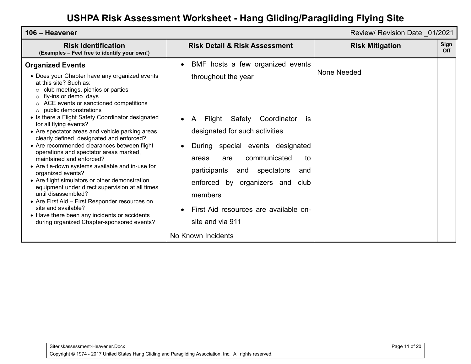| 106 - Heavener                                                                                                                                                                                                                                                                                                                                                                                                                                                                               |                                                                                                                                                                                                                                                              | Review/ Revision Date 01/2021 |                    |
|----------------------------------------------------------------------------------------------------------------------------------------------------------------------------------------------------------------------------------------------------------------------------------------------------------------------------------------------------------------------------------------------------------------------------------------------------------------------------------------------|--------------------------------------------------------------------------------------------------------------------------------------------------------------------------------------------------------------------------------------------------------------|-------------------------------|--------------------|
| <b>Risk Identification</b><br>(Examples - Feel free to identify your own!)                                                                                                                                                                                                                                                                                                                                                                                                                   | <b>Risk Detail &amp; Risk Assessment</b>                                                                                                                                                                                                                     | <b>Risk Mitigation</b>        | Sign<br><b>Off</b> |
| <b>Organized Events</b><br>• Does your Chapter have any organized events<br>at this site? Such as:<br>$\circ$ club meetings, picnics or parties<br>fly-ins or demo days<br>$\circ$<br>ACE events or sanctioned competitions<br>public demonstrations<br>$\circ$<br>• Is there a Flight Safety Coordinator designated<br>for all flying events?<br>• Are spectator areas and vehicle parking areas<br>clearly defined, designated and enforced?                                               | BMF hosts a few organized events<br>$\bullet$<br>throughout the year<br>Safety<br>Coordinator<br>Flight<br>$\mathsf{A}$<br><b>is</b><br>designated for such activities                                                                                       | None Needed                   |                    |
| • Are recommended clearances between flight<br>operations and spectator areas marked,<br>maintained and enforced?<br>• Are tie-down systems available and in-use for<br>organized events?<br>• Are flight simulators or other demonstration<br>equipment under direct supervision at all times<br>until disassembled?<br>• Are First Aid – First Responder resources on<br>site and available?<br>• Have there been any incidents or accidents<br>during organized Chapter-sponsored events? | special events designated<br>During<br>communicated<br>to<br>areas<br>are<br>participants<br>spectators<br>and<br>and<br>by organizers and<br>enforced<br>club<br>members<br>First Aid resources are available on-<br>site and via 911<br>No Known Incidents |                               |                    |

Siteriskassessment-Heavener.Docx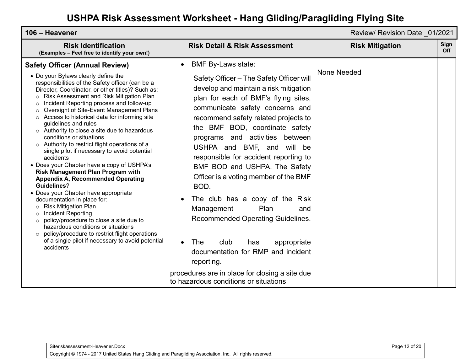| 106 - Heavener                                                                                                                                                                                                                                                                                                                                                                                                                                                                                                                                                                                                                                                                                                                                                                                                                                                                                                                                                                                                                                                                                                                |                                                                                                                                                                                                                                                                                                                                                                                                                                                                                                                                                                                                                                                                                                                                                                                           | Review/ Revision Date 01/2021 |                    |
|-------------------------------------------------------------------------------------------------------------------------------------------------------------------------------------------------------------------------------------------------------------------------------------------------------------------------------------------------------------------------------------------------------------------------------------------------------------------------------------------------------------------------------------------------------------------------------------------------------------------------------------------------------------------------------------------------------------------------------------------------------------------------------------------------------------------------------------------------------------------------------------------------------------------------------------------------------------------------------------------------------------------------------------------------------------------------------------------------------------------------------|-------------------------------------------------------------------------------------------------------------------------------------------------------------------------------------------------------------------------------------------------------------------------------------------------------------------------------------------------------------------------------------------------------------------------------------------------------------------------------------------------------------------------------------------------------------------------------------------------------------------------------------------------------------------------------------------------------------------------------------------------------------------------------------------|-------------------------------|--------------------|
| <b>Risk Identification</b><br>(Examples - Feel free to identify your own!)                                                                                                                                                                                                                                                                                                                                                                                                                                                                                                                                                                                                                                                                                                                                                                                                                                                                                                                                                                                                                                                    | <b>Risk Detail &amp; Risk Assessment</b>                                                                                                                                                                                                                                                                                                                                                                                                                                                                                                                                                                                                                                                                                                                                                  | <b>Risk Mitigation</b>        | Sign<br><b>Off</b> |
| <b>Safety Officer (Annual Review)</b><br>• Do your Bylaws clearly define the<br>responsibilities of the Safety officer (can be a<br>Director, Coordinator, or other titles)? Such as:<br>o Risk Assessment and Risk Mitigation Plan<br>$\circ$ Incident Reporting process and follow-up<br>o Oversight of Site-Event Management Plans<br>○ Access to historical data for informing site<br>guidelines and rules<br>$\circ$ Authority to close a site due to hazardous<br>conditions or situations<br>o Authority to restrict flight operations of a<br>single pilot if necessary to avoid potential<br>accidents<br>• Does your Chapter have a copy of USHPA's<br>Risk Management Plan Program with<br><b>Appendix A, Recommended Operating</b><br><b>Guidelines?</b><br>• Does your Chapter have appropriate<br>documentation in place for:<br>o Risk Mitigation Plan<br><b>Incident Reporting</b><br>$\circ$<br>$\circ$ policy/procedure to close a site due to<br>hazardous conditions or situations<br>o policy/procedure to restrict flight operations<br>of a single pilot if necessary to avoid potential<br>accidents | <b>BMF By-Laws state:</b><br>$\bullet$<br>Safety Officer - The Safety Officer will<br>develop and maintain a risk mitigation<br>plan for each of BMF's flying sites,<br>communicate safety concerns and<br>recommend safety related projects to<br>the BMF BOD, coordinate safety<br>programs and activities between<br>USHPA and BMF, and<br>will<br>be<br>responsible for accident reporting to<br>BMF BOD and USHPA. The Safety<br>Officer is a voting member of the BMF<br>BOD.<br>The club has a copy of the Risk<br>Plan<br>Management<br>and<br>Recommended Operating Guidelines.<br>The<br>club<br>appropriate<br>has<br>$\bullet$<br>documentation for RMP and incident<br>reporting.<br>procedures are in place for closing a site due<br>to hazardous conditions or situations | None Needed                   |                    |

Copyright © 1974 - 2017 United States Hang Gliding and Paragliding Association, Inc. All rights reserved.

Siteriskassessment-Heavener.Docx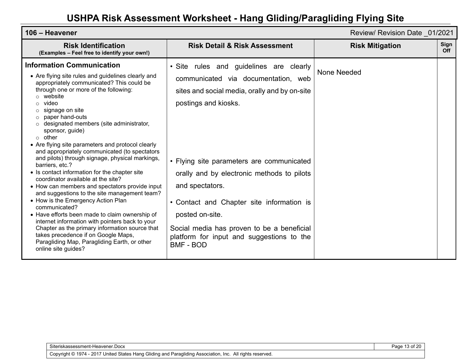| 106 - Heavener                                                                                                                                                                                                                                                                                                                                                                                                                                                                                                                                                                                                                                                                                                                                                                                                                                                                                                                                                                                                              | Review/ Revision Date 01/2021                                                                                                                                                                                                                                                                                                                                                                                                                        |                        |                    |
|-----------------------------------------------------------------------------------------------------------------------------------------------------------------------------------------------------------------------------------------------------------------------------------------------------------------------------------------------------------------------------------------------------------------------------------------------------------------------------------------------------------------------------------------------------------------------------------------------------------------------------------------------------------------------------------------------------------------------------------------------------------------------------------------------------------------------------------------------------------------------------------------------------------------------------------------------------------------------------------------------------------------------------|------------------------------------------------------------------------------------------------------------------------------------------------------------------------------------------------------------------------------------------------------------------------------------------------------------------------------------------------------------------------------------------------------------------------------------------------------|------------------------|--------------------|
| <b>Risk Identification</b><br>(Examples - Feel free to identify your own!)                                                                                                                                                                                                                                                                                                                                                                                                                                                                                                                                                                                                                                                                                                                                                                                                                                                                                                                                                  | <b>Risk Detail &amp; Risk Assessment</b>                                                                                                                                                                                                                                                                                                                                                                                                             | <b>Risk Mitigation</b> | Sign<br><b>Off</b> |
| <b>Information Communication</b><br>• Are flying site rules and guidelines clearly and<br>appropriately communicated? This could be<br>through one or more of the following:<br>website<br>video<br>signage on site<br>paper hand-outs<br>O<br>designated members (site administrator,<br>sponsor, guide)<br>$\circ$ other<br>• Are flying site parameters and protocol clearly<br>and appropriately communicated (to spectators<br>and pilots) through signage, physical markings,<br>barriers, etc.?<br>• Is contact information for the chapter site<br>coordinator available at the site?<br>• How can members and spectators provide input<br>and suggestions to the site management team?<br>• How is the Emergency Action Plan<br>communicated?<br>• Have efforts been made to claim ownership of<br>internet information with pointers back to your<br>Chapter as the primary information source that<br>takes precedence if on Google Maps,<br>Paragliding Map, Paragliding Earth, or other<br>online site guides? | · Site rules and guidelines are clearly<br>communicated via documentation, web<br>sites and social media, orally and by on-site<br>postings and kiosks.<br>• Flying site parameters are communicated<br>orally and by electronic methods to pilots<br>and spectators.<br>• Contact and Chapter site information is<br>posted on-site.<br>Social media has proven to be a beneficial<br>platform for input and suggestions to the<br><b>BMF - BOD</b> | None Needed            |                    |

Page 13 of 20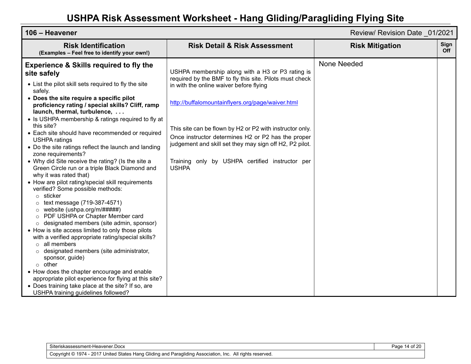| 106 - Heavener<br>Review/ Revision Date 01/2021                                                                                                                                                                                                                                                                                                                                                                                                                                                                                                                                                                                                                                                                                                                                                                                                                                                                                                                                                                                                                                                                                                                                                                                                                                                                                    |                                                                                                                                                                                                                                                                                                                                                                                                                                                             |                        |             |
|------------------------------------------------------------------------------------------------------------------------------------------------------------------------------------------------------------------------------------------------------------------------------------------------------------------------------------------------------------------------------------------------------------------------------------------------------------------------------------------------------------------------------------------------------------------------------------------------------------------------------------------------------------------------------------------------------------------------------------------------------------------------------------------------------------------------------------------------------------------------------------------------------------------------------------------------------------------------------------------------------------------------------------------------------------------------------------------------------------------------------------------------------------------------------------------------------------------------------------------------------------------------------------------------------------------------------------|-------------------------------------------------------------------------------------------------------------------------------------------------------------------------------------------------------------------------------------------------------------------------------------------------------------------------------------------------------------------------------------------------------------------------------------------------------------|------------------------|-------------|
| <b>Risk Identification</b><br>(Examples - Feel free to identify your own!)                                                                                                                                                                                                                                                                                                                                                                                                                                                                                                                                                                                                                                                                                                                                                                                                                                                                                                                                                                                                                                                                                                                                                                                                                                                         | <b>Risk Detail &amp; Risk Assessment</b>                                                                                                                                                                                                                                                                                                                                                                                                                    | <b>Risk Mitigation</b> | Sign<br>Off |
| <b>Experience &amp; Skills required to fly the</b><br>site safely<br>• List the pilot skill sets required to fly the site<br>safely.<br>• Does the site require a specific pilot<br>proficiency rating / special skills? Cliff, ramp<br>launch, thermal, turbulence,<br>• Is USHPA membership & ratings required to fly at<br>this site?<br>• Each site should have recommended or required<br><b>USHPA ratings</b><br>• Do the site ratings reflect the launch and landing<br>zone requirements?<br>• Why did Site receive the rating? (Is the site a<br>Green Circle run or a triple Black Diamond and<br>why it was rated that)<br>• How are pilot rating/special skill requirements<br>verified? Some possible methods:<br>$\circ$ sticker<br>$\circ$ text message (719-387-4571)<br>o website (ushpa.org/m/#####)<br>o PDF USHPA or Chapter Member card<br>o designated members (site admin, sponsor)<br>• How is site access limited to only those pilots<br>with a verified appropriate rating/special skills?<br>$\circ$ all members<br>o designated members (site administrator,<br>sponsor, guide)<br>$\circ$ other<br>• How does the chapter encourage and enable<br>appropriate pilot experience for flying at this site?<br>• Does training take place at the site? If so, are<br>USHPA training guidelines followed? | USHPA membership along with a H3 or P3 rating is<br>required by the BMF to fly this site. Pilots must check<br>in with the online waiver before flying<br>http://buffalomountainflyers.org/page/waiver.html<br>This site can be flown by H2 or P2 with instructor only.<br>Once instructor determines H2 or P2 has the proper<br>judgement and skill set they may sign off H2, P2 pilot.<br>Training only by USHPA certified instructor per<br><b>USHPA</b> | None Needed            |             |

| Siteriskassessment-Heavener.Docx                                                                          |  |
|-----------------------------------------------------------------------------------------------------------|--|
| Copyright © 1974 - 2017 United States Hang Gliding and Paragliding Association, Inc. All rights reserved. |  |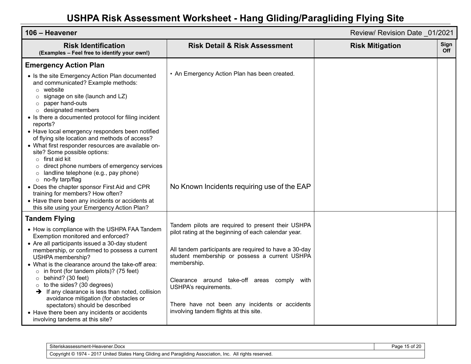| 106 - Heavener                                                                                                                                                                                                                                                                                                                                                                                                                                                                                                                                                                                                                                                                                                                     |                                                                                                                                                                                                                                                                                                                                                                                                        | Review/ Revision Date 01/2021 |             |
|------------------------------------------------------------------------------------------------------------------------------------------------------------------------------------------------------------------------------------------------------------------------------------------------------------------------------------------------------------------------------------------------------------------------------------------------------------------------------------------------------------------------------------------------------------------------------------------------------------------------------------------------------------------------------------------------------------------------------------|--------------------------------------------------------------------------------------------------------------------------------------------------------------------------------------------------------------------------------------------------------------------------------------------------------------------------------------------------------------------------------------------------------|-------------------------------|-------------|
| <b>Risk Identification</b><br>(Examples - Feel free to identify your own!)                                                                                                                                                                                                                                                                                                                                                                                                                                                                                                                                                                                                                                                         | <b>Risk Detail &amp; Risk Assessment</b>                                                                                                                                                                                                                                                                                                                                                               | <b>Risk Mitigation</b>        | Sign<br>Off |
| <b>Emergency Action Plan</b>                                                                                                                                                                                                                                                                                                                                                                                                                                                                                                                                                                                                                                                                                                       |                                                                                                                                                                                                                                                                                                                                                                                                        |                               |             |
| • Is the site Emergency Action Plan documented<br>and communicated? Example methods:<br>$\circ$ website<br>signage on site (launch and LZ)<br>$\circ$<br>paper hand-outs<br>$\circ$<br>designated members<br>$\circ$<br>• Is there a documented protocol for filing incident<br>reports?<br>• Have local emergency responders been notified<br>of flying site location and methods of access?<br>• What first responder resources are available on-<br>site? Some possible options:<br>$\circ$ first aid kit<br>direct phone numbers of emergency services<br>$\circ$<br>landline telephone (e.g., pay phone)<br>$\circ$<br>o no-fly tarp/flag<br>• Does the chapter sponsor First Aid and CPR<br>training for members? How often? | • An Emergency Action Plan has been created.<br>No Known Incidents requiring use of the EAP                                                                                                                                                                                                                                                                                                            |                               |             |
| • Have there been any incidents or accidents at<br>this site using your Emergency Action Plan?                                                                                                                                                                                                                                                                                                                                                                                                                                                                                                                                                                                                                                     |                                                                                                                                                                                                                                                                                                                                                                                                        |                               |             |
| <b>Tandem Flying</b><br>• How is compliance with the USHPA FAA Tandem<br>Exemption monitored and enforced?<br>• Are all participants issued a 30-day student<br>membership, or confirmed to possess a current<br>USHPA membership?<br>• What is the clearance around the take-off area:<br>$\circ$ in front (for tandem pilots)? (75 feet)<br>behind? (30 feet)<br>$\circ$<br>to the sides? (30 degrees)<br>$\circ$<br>$\rightarrow$ If any clearance is less than noted, collision<br>avoidance mitigation (for obstacles or<br>spectators) should be described<br>• Have there been any incidents or accidents<br>involving tandems at this site?                                                                                | Tandem pilots are required to present their USHPA<br>pilot rating at the beginning of each calendar year.<br>All tandem participants are required to have a 30-day<br>student membership or possess a current USHPA<br>membership.<br>Clearance around take-off areas comply with<br>USHPA's requirements.<br>There have not been any incidents or accidents<br>involving tandem flights at this site. |                               |             |

| Siteriskassessment-Heavener.Docx                                                                                            | … م |
|-----------------------------------------------------------------------------------------------------------------------------|-----|
| J Gliding and Paragliding Association, Inc.<br>United States Hang C<br>$-2017$<br>1974<br>All rights reserved.<br>Copyright |     |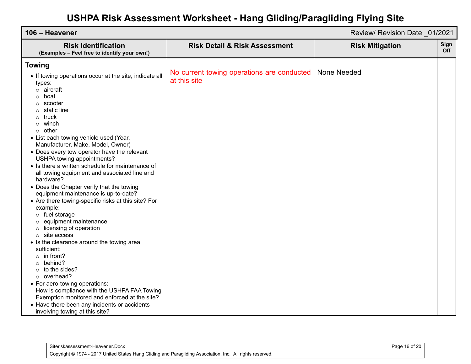| 106 - Heavener<br>Review/ Revision Date 01/2021                                                                                                                                                                                                                                                                                                                                                                                                                                                                                                                                                                                                                                                                                                                                                                                                 |  |
|-------------------------------------------------------------------------------------------------------------------------------------------------------------------------------------------------------------------------------------------------------------------------------------------------------------------------------------------------------------------------------------------------------------------------------------------------------------------------------------------------------------------------------------------------------------------------------------------------------------------------------------------------------------------------------------------------------------------------------------------------------------------------------------------------------------------------------------------------|--|
| Sign<br><b>Risk Detail &amp; Risk Assessment</b><br><b>Risk Identification</b><br><b>Risk Mitigation</b><br><b>Off</b><br>(Examples - Feel free to identify your own!)                                                                                                                                                                                                                                                                                                                                                                                                                                                                                                                                                                                                                                                                          |  |
| No current towing operations are conducted<br>None Needed<br>• If towing operations occur at the site, indicate all<br>at this site<br>• List each towing vehicle used (Year,<br>Manufacturer, Make, Model, Owner)<br>• Does every tow operator have the relevant<br>USHPA towing appointments?<br>• Is there a written schedule for maintenance of<br>all towing equipment and associated line and<br>• Does the Chapter verify that the towing<br>equipment maintenance is up-to-date?<br>• Are there towing-specific risks at this site? For<br>o fuel storage<br>equipment maintenance<br>licensing of operation<br>site access<br>• Is the clearance around the towing area<br>to the sides?<br>overhead?<br>• For aero-towing operations:<br>How is compliance with the USHPA FAA Towing<br>Exemption monitored and enforced at the site? |  |
|                                                                                                                                                                                                                                                                                                                                                                                                                                                                                                                                                                                                                                                                                                                                                                                                                                                 |  |

| Siteriskassessment-Heavener.Docx                                                                          | Page 16 of 20 |
|-----------------------------------------------------------------------------------------------------------|---------------|
| Copyright © 1974 - 2017 United States Hang Gliding and Paragliding Association, Inc. All rights reserved. |               |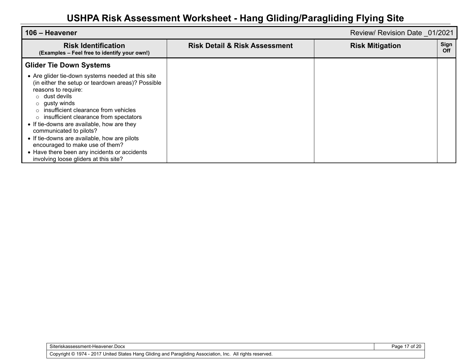| l 106 – Heavener                                                                                                                                                                                                                                                                                                                                                                                                                                                                                           |                                          | Review/ Revision Date 01/2021         |
|------------------------------------------------------------------------------------------------------------------------------------------------------------------------------------------------------------------------------------------------------------------------------------------------------------------------------------------------------------------------------------------------------------------------------------------------------------------------------------------------------------|------------------------------------------|---------------------------------------|
| <b>Risk Identification</b><br>(Examples - Feel free to identify your own!)                                                                                                                                                                                                                                                                                                                                                                                                                                 | <b>Risk Detail &amp; Risk Assessment</b> | Sign<br><b>Risk Mitigation</b><br>Off |
| <b>Glider Tie Down Systems</b>                                                                                                                                                                                                                                                                                                                                                                                                                                                                             |                                          |                                       |
| • Are glider tie-down systems needed at this site<br>(in either the setup or teardown areas)? Possible<br>reasons to require:<br>$\circ$ dust devils<br>gusty winds<br>insufficient clearance from vehicles<br>insufficient clearance from spectators<br>• If tie-downs are available, how are they<br>communicated to pilots?<br>• If tie-downs are available, how are pilots<br>encouraged to make use of them?<br>• Have there been any incidents or accidents<br>involving loose gliders at this site? |                                          |                                       |

Siteriskassessment-Heavener.Docx

Page 17 of 20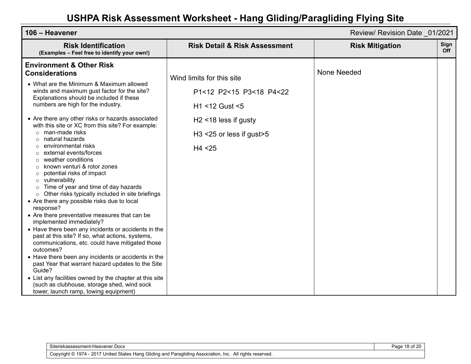| 106 - Heavener                                                                                                                                                                                                                                                                                                                                                                                                                                                                                                                                                                                                                                                                                                                                                                                                                                                                                                                                                                                                                                                                                                                                                                                                                                                                                          |                                                                                                                                              | Review/ Revision Date 01/2021 |             |
|---------------------------------------------------------------------------------------------------------------------------------------------------------------------------------------------------------------------------------------------------------------------------------------------------------------------------------------------------------------------------------------------------------------------------------------------------------------------------------------------------------------------------------------------------------------------------------------------------------------------------------------------------------------------------------------------------------------------------------------------------------------------------------------------------------------------------------------------------------------------------------------------------------------------------------------------------------------------------------------------------------------------------------------------------------------------------------------------------------------------------------------------------------------------------------------------------------------------------------------------------------------------------------------------------------|----------------------------------------------------------------------------------------------------------------------------------------------|-------------------------------|-------------|
| <b>Risk Identification</b><br>(Examples - Feel free to identify your own!)                                                                                                                                                                                                                                                                                                                                                                                                                                                                                                                                                                                                                                                                                                                                                                                                                                                                                                                                                                                                                                                                                                                                                                                                                              | <b>Risk Detail &amp; Risk Assessment</b>                                                                                                     | <b>Risk Mitigation</b>        | Sign<br>Off |
| <b>Environment &amp; Other Risk</b><br><b>Considerations</b><br>• What are the Minimum & Maximum allowed<br>winds and maximum gust factor for the site?<br>Explanations should be included if these<br>numbers are high for the industry.<br>• Are there any other risks or hazards associated<br>with this site or XC from this site? For example:<br>man-made risks<br>$\circ$<br>natural hazards<br>environmental risks<br>external events/forces<br>weather conditions<br>known venturi & rotor zones<br>$\circ$<br>potential risks of impact<br>$\circ$<br>vulnerability<br>$\circ$<br>Time of year and time of day hazards<br>$\circ$<br>Other risks typically included in site briefings<br>$\circ$<br>• Are there any possible risks due to local<br>response?<br>• Are there preventative measures that can be<br>implemented immediately?<br>• Have there been any incidents or accidents in the<br>past at this site? If so, what actions, systems,<br>communications, etc. could have mitigated those<br>outcomes?<br>• Have there been any incidents or accidents in the<br>past Year that warrant hazard updates to the Site<br>Guide?<br>• List any facilities owned by the chapter at this site<br>(such as clubhouse, storage shed, wind sock<br>tower, launch ramp, towing equipment) | Wind limits for this site<br>P1<12 P2<15 P3<18 P4<22<br>H1 <12 Gust <5<br>$H2$ <18 less if gusty<br>$H3 < 25$ or less if gust > 5<br>H4 < 25 | None Needed                   |             |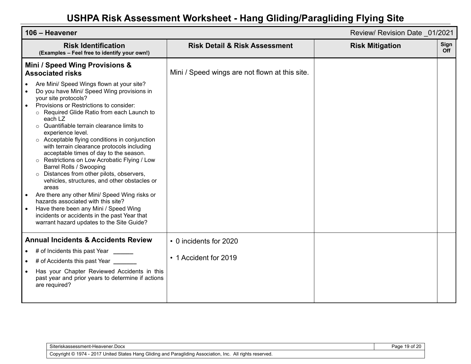| 106 - Heavener                                                                                                                                                                                                                                                                                                                                                                                                                                                                                                                                                                                                                                                                                                                                                                                                                                                                      |                                                | Review/ Revision Date 01/2021 |             |
|-------------------------------------------------------------------------------------------------------------------------------------------------------------------------------------------------------------------------------------------------------------------------------------------------------------------------------------------------------------------------------------------------------------------------------------------------------------------------------------------------------------------------------------------------------------------------------------------------------------------------------------------------------------------------------------------------------------------------------------------------------------------------------------------------------------------------------------------------------------------------------------|------------------------------------------------|-------------------------------|-------------|
| <b>Risk Identification</b><br>(Examples - Feel free to identify your own!)                                                                                                                                                                                                                                                                                                                                                                                                                                                                                                                                                                                                                                                                                                                                                                                                          | <b>Risk Detail &amp; Risk Assessment</b>       | <b>Risk Mitigation</b>        | Sign<br>Off |
| Mini / Speed Wing Provisions &<br><b>Associated risks</b>                                                                                                                                                                                                                                                                                                                                                                                                                                                                                                                                                                                                                                                                                                                                                                                                                           | Mini / Speed wings are not flown at this site. |                               |             |
| Are Mini/ Speed Wings flown at your site?<br>Do you have Mini/ Speed Wing provisions in<br>your site protocols?<br>Provisions or Restrictions to consider:<br>$\bullet$<br>Required Glide Ratio from each Launch to<br>each LZ<br>Quantifiable terrain clearance limits to<br>$\circ$<br>experience level.<br>○ Acceptable flying conditions in conjunction<br>with terrain clearance protocols including<br>acceptable times of day to the season.<br>Restrictions on Low Acrobatic Flying / Low<br>$\circ$<br>Barrel Rolls / Swooping<br>Distances from other pilots, observers,<br>$\circ$<br>vehicles, structures, and other obstacles or<br>areas<br>Are there any other Mini/ Speed Wing risks or<br>hazards associated with this site?<br>Have there been any Mini / Speed Wing<br>incidents or accidents in the past Year that<br>warrant hazard updates to the Site Guide? |                                                |                               |             |
| <b>Annual Incidents &amp; Accidents Review</b><br>• # of Incidents this past Year ______                                                                                                                                                                                                                                                                                                                                                                                                                                                                                                                                                                                                                                                                                                                                                                                            | • 0 incidents for 2020                         |                               |             |
| • # of Accidents this past Year _                                                                                                                                                                                                                                                                                                                                                                                                                                                                                                                                                                                                                                                                                                                                                                                                                                                   | • 1 Accident for 2019                          |                               |             |
| Has your Chapter Reviewed Accidents in this<br>past year and prior years to determine if actions<br>are required?                                                                                                                                                                                                                                                                                                                                                                                                                                                                                                                                                                                                                                                                                                                                                                   |                                                |                               |             |

Siteriskassessment-Heavener.Docx